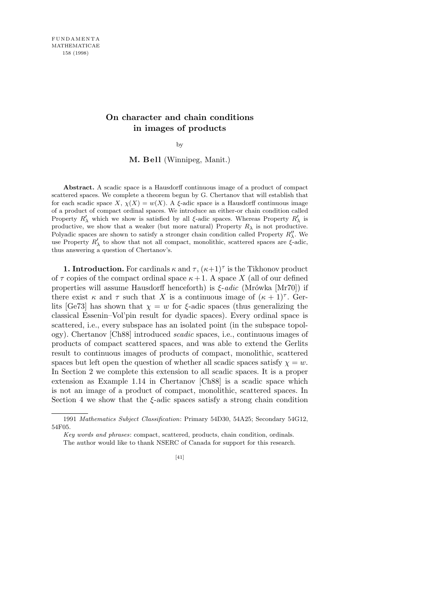## **On character and chain conditions in images of products**

by

**M. Bell** (Winnipeg, Manit.)

**Abstract.** A scadic space is a Hausdorff continuous image of a product of compact scattered spaces. We complete a theorem begun by G. Chertanov that will establish that for each scadic space *X*,  $\chi(X) = w(X)$ . A *ξ*-adic space is a Hausdorff continuous image of a product of compact ordinal spaces. We introduce an either-or chain condition called Property  $R'_\lambda$  which we show is satisfied by all *ξ*-adic spaces. Whereas Property  $R'_\lambda$  is productive, we show that a weaker (but more natural) Property  $R_\lambda$  is not productive. Polyadic spaces are shown to satisfy a stronger chain condition called Property  $R''_{\lambda}$ . We use Property  $R'_{\lambda}$  to show that not all compact, monolithic, scattered spaces are  $\hat{\xi}$ -adic, thus answering a question of Chertanov's.

**1. Introduction.** For cardinals  $\kappa$  and  $\tau$ ,  $(\kappa+1)^{\tau}$  is the Tikhonov product of  $\tau$  copies of the compact ordinal space  $\kappa + 1$ . A space X (all of our defined properties will assume Hausdorff henceforth) is *ξ*-*adic* (Mrówka [Mr70]) if there exist  $\kappa$  and  $\tau$  such that *X* is a continuous image of  $(\kappa + 1)^{\tau}$ . Gerlits [Ge73] has shown that  $\chi = w$  for  $\xi$ -adic spaces (thus generalizing the classical Essenin–Vol'pin result for dyadic spaces). Every ordinal space is scattered, i.e., every subspace has an isolated point (in the subspace topology). Chertanov [Ch88] introduced *scadic* spaces, i.e., continuous images of products of compact scattered spaces, and was able to extend the Gerlits result to continuous images of products of compact, monolithic, scattered spaces but left open the question of whether all scadic spaces satisfy  $\chi = w$ . In Section 2 we complete this extension to all scadic spaces. It is a proper extension as Example 1.14 in Chertanov [Ch88] is a scadic space which is not an image of a product of compact, monolithic, scattered spaces. In Section 4 we show that the  $\xi$ -adic spaces satisfy a strong chain condition

<sup>1991</sup> *Mathematics Subject Classification*: Primary 54D30, 54A25; Secondary 54G12, 54F05.

*Key words and phrases*: compact, scattered, products, chain condition, ordinals.

The author would like to thank NSERC of Canada for support for this research.

<sup>[41]</sup>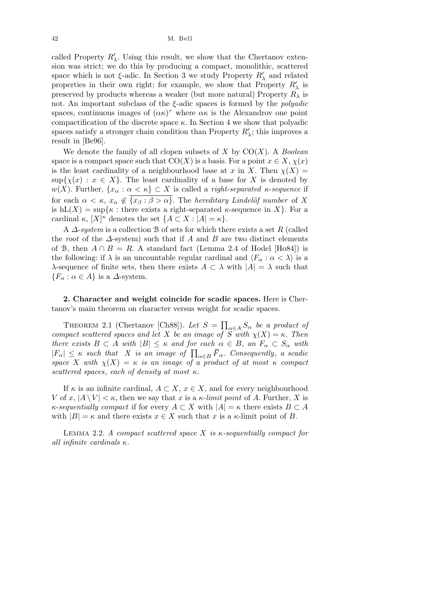42 M. Bell

called Property  $R'_{\lambda}$ . Using this result, we show that the Chertanov extension was strict; we do this by producing a compact, monolithic, scattered space which is not  $\xi$ -adic. In Section 3 we study Property  $R'_{\lambda}$  and related properties in their own right; for example, we show that Property  $R'_{\lambda}$  is preserved by products whereas a weaker (but more natural) Property  $R_{\lambda}$  is not. An important subclass of the *ξ*-adic spaces is formed by the *polyadic* spaces, continuous images of  $(\alpha \kappa)^{\tau}$  where  $\alpha \kappa$  is the Alexandrov one point compactification of the discrete space  $\kappa$ . In Section 4 we show that polyadic spaces satisfy a stronger chain condition than Property  $R'_{\lambda}$ ; this improves a result in [Be96].

We denote the family of all clopen subsets of *X* by CO(*X*). A *Boolean* space is a compact space such that  $CO(X)$  is a basis. For a point  $x \in X$ ,  $\chi(x)$ is the least cardinality of a neighbourhood base at *x* in *X*. Then  $\chi(X)$  =  $\sup\{ \chi(x) : x \in X \}$ . The least cardinality of a base for *X* is denoted by  $w(X)$ . Further,  $\{x_\alpha : \alpha < \kappa\} \subset X$  is called a *right-separated κ-sequence* if for each  $\alpha < \kappa$ ,  $x_{\alpha} \notin \overline{\{x_{\beta} : \beta > \alpha\}}$ . The *hereditary Lindelöf number* of X is  $hL(X) = \sup\{\kappa : \text{there exists a right-separated } \kappa\text{-sequence in } X\}.$  For a cardinal  $\kappa$ ,  $[X]^{\kappa}$  denotes the set  $\{A \subset X : |A| = \kappa\}.$ 

A *∆*-*system* is a collection B of sets for which there exists a set *R* (called the *root* of the *∆*-system) such that if *A* and *B* are two distinct elements of B, then  $A \cap B = R$ . A standard fact (Lemma 2.4 of Hodel [Ho84]) is the following: if  $\lambda$  is an uncountable regular cardinal and  $\langle F_\alpha : \alpha < \lambda \rangle$  is a *λ*-sequence of finite sets, then there exists  $A \subset \lambda$  with  $|A| = \lambda$  such that  ${F_{\alpha} : \alpha \in A}$  is a *∆*-system.

**2. Character and weight coincide for scadic spaces.** Here is Chertanov's main theorem on character versus weight for scadic spaces.

THEOREM 2.1 (Chertanov [Ch88]). Let  $S =$  $\overline{a}$ *α∈A S<sup>α</sup> be a product of compact scattered spaces and let X be an image of S with*  $\chi(X) = \kappa$ *. Then there exists*  $B \subset A$  *with*  $|B| \leq \kappa$  *and for each*  $\alpha \in B$ , *an*  $F_{\alpha} \subset S_{\alpha}$  *with*  $|F_{\alpha}| \leq \kappa$  *such that X is an image of*  $\prod_{\alpha \in B} \overline{F}_{\alpha}$ . Consequently, *a scadic space X with*  $\chi(X) = \kappa$  *is an image of a product of at most*  $\kappa$  *compact scattered spaces*, *each of density at most κ.*

If  $\kappa$  is an infinite cardinal,  $A \subset X$ ,  $x \in X$ , and for every neighbourhood *V* of *x*,  $|A \setminus V| < \kappa$ , then we say that *x* is a *κ*-*limit point* of *A*. Further, *X* is *κ*-*sequentially compact* if for every  $A \subset X$  with  $|A| = \kappa$  there exists  $B \subset A$ with  $|B| = \kappa$  and there exists  $x \in X$  such that *x* is a  $\kappa$ -limit point of *B*.

Lemma 2.2. *A compact scattered space X is κ-sequentially compact for all infinite cardinals κ.*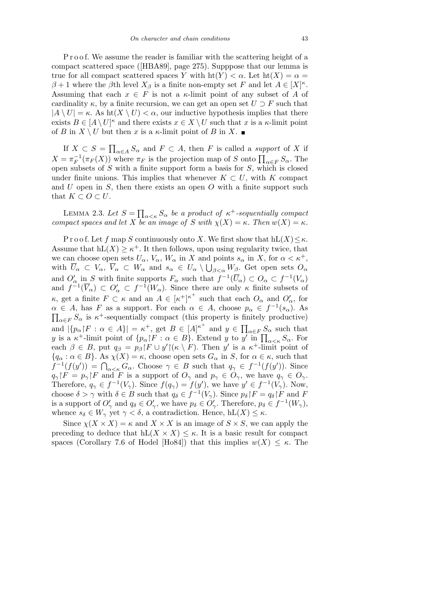P r o o f. We assume the reader is familiar with the scattering height of a compact scattered space ([HBA89], page 275). Supppose that our lemma is true for all compact scattered spaces *Y* with  $\text{ht}(Y) < \alpha$ . Let  $\text{ht}(X) = \alpha =$  $\beta + 1$  where the  $\beta$ th level  $X_{\beta}$  is a finite non-empty set *F* and let  $A \in [X]^{\kappa}$ . Assuming that each  $x \in F$  is not a *κ*-limit point of any subset of *A* of cardinality  $\kappa$ , by a finite recursion, we can get an open set  $U \supset F$  such that  $|A \setminus U| = \kappa$ . As ht $(X \setminus U) < \alpha$ , our inductive hypothesis implies that there exists  $B \in [A \setminus U]^{\kappa}$  and there exists  $x \in X \setminus U$  such that *x* is a *κ*-limit point of *B* in  $X \setminus U$  but then *x* is a *κ*-limit point of *B* in  $X$ .

If  $X \subset S =$  $\overline{a}$  $a \in A$  *S*<sup>*a*</sup> and *F ⊂ A*, then *F* is called a *support* of *X* if  $X = \pi_F^{-1}(\pi_F(X))$  where  $\pi_F$  is the projection map of *S* onto  $\prod_{\alpha \in F} S_\alpha$ . The open subsets of *S* with a finite support form a basis for *S*, which is closed under finite unions. This implies that whenever  $K \subset U$ , with  $K$  compact and *U* open in *S*, then there exists an open *O* with a finite support such that  $K \subset O \subset U$ .

LEMMA 2.3. Let  $S =$  $\overline{a}$  $\alpha < \kappa$  *S*<sup>α</sup> *be a product of*  $\kappa$ <sup>+</sup>-sequentially compact *compact spaces and let X be an image of S with*  $\chi(X) = \kappa$ *. Then*  $w(X) = \kappa$ *.* 

P r o o f. Let f map *S* continuously onto *X*. We first show that  $hL(X) \leq \kappa$ . Assume that  $hL(X) \geq \kappa^+$ . It then follows, upon using regularity twice, that we can choose open sets  $U_{\alpha}$ ,  $V_{\alpha}$ ,  $W_{\alpha}$  in  $X$  and points  $s_{\alpha}$  in  $X$ , for  $\alpha < \kappa^+$ , with  $\overline{U}_{\alpha} \subset V_{\alpha}, \ \overline{V}_{\alpha} \subset W_{\alpha}$  and  $s_{\alpha} \in U_{\alpha} \setminus \bigcup_{\beta < \alpha} W_{\beta}$ . Get open sets  $O_{\alpha}$ and  $O'_\alpha$  in *S* with finite supports  $F_\alpha$  such that  $f^{-1}(\overline{U}_\alpha) \subset O_\alpha \subset f^{-1}(V_\alpha)$ and  $f^{-1}(\overline{V}_\alpha) \subset O'_\alpha \subset f^{-1}(W_\alpha)$ . Since there are only  $\kappa$  finite subsets of *κ*, get a finite  $F \subset \kappa$  and an  $A \in [\kappa^+]^{\kappa^+}$  such that each  $O_\alpha$  and  $O'_\alpha$ , for  $\alpha \in A$ , has *F* as a support. For each  $\alpha \in A$ , choose  $p_{\alpha} \in f^{-1}(s_{\alpha})$ . As  $a \in F S$ <sup>*α*</sup> is *κ*<sup>+</sup>-sequentially compact (this property is finitely productive) and  $|\{p_{\alpha} | F : \alpha \in A\}| = \kappa^{+}$ , get  $B \in [A]^{\kappa^{+}}$  and  $y \in$ …<br>—  $\alpha \in F$  *S*<sup>*α*</sup> such that  $y$  is a  $\kappa^+$ -limit point of  $\{p_\alpha \mid F : \alpha \in B\}$ . Extend  $y$  to  $y'$  in  $\prod_{\alpha \leq \kappa} S_\alpha$ . For each  $\beta \in B$ , put  $q_{\beta} = p_{\beta} | F \cup y' | (\kappa \setminus F)$ . Then *y'* is a  $\kappa^+$ -limit point of  ${q_{\alpha}: \alpha \in B}$ . As  $\chi(X) = \kappa$ , choose open sets  $G_{\alpha}$  in *S*, for  $\alpha \in \kappa$ , such that  $f^{-1}(f(y')) = \bigcap_{\alpha < \kappa} G_\alpha$ . Choose  $\gamma \in B$  such that  $q_\gamma \in f^{-1}(f(y'))$ . Since  $q_{\gamma}$ <sup> $\upharpoonright$ </sup>  $F = p_{\gamma}$  $\upharpoonright$  *F* and *F* is a support of  $O_{\gamma}$  and  $p_{\gamma} \in O_{\gamma}$ , we have  $q_{\gamma} \in O_{\gamma}$ . Therefore,  $q_{\gamma} \in f^{-1}(V_{\gamma})$ . Since  $f(q_{\gamma}) = f(y')$ , we have  $y' \in f^{-1}(V_{\gamma})$ . Now, choose  $\delta > \gamma$  with  $\delta \in B$  such that  $q_{\delta} \in f^{-1}(V_{\gamma})$ . Since  $p_{\delta} | F = q_{\delta} | F$  and F is a support of  $O'_{\gamma}$  and  $q_{\delta} \in O'_{\gamma}$ , we have  $p_{\delta} \in O'_{\gamma}$ . Therefore,  $p_{\delta} \in f^{-1}(W_{\gamma})$ , whence  $s_{\delta} \in W_{\gamma}$  yet  $\gamma < \delta$ , a contradiction. Hence,  $hL(X) \leq \kappa$ .

Since  $\chi(X \times X) = \kappa$  and  $X \times X$  is an image of  $S \times S$ , we can apply the preceding to deduce that  $hL(X \times X) \leq \kappa$ . It is a basic result for compact spaces (Corollary 7.6 of Hodel [Ho84]) that this implies  $w(X) \leq \kappa$ . The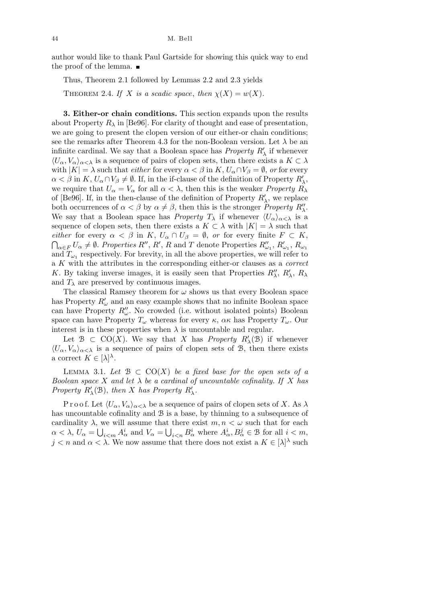author would like to thank Paul Gartside for showing this quick way to end the proof of the lemma.

Thus, Theorem 2.1 followed by Lemmas 2.2 and 2.3 yields

THEOREM 2.4. *If X is a scadic space*, *then*  $\chi(X) = w(X)$ .

**3. Either-or chain conditions.** This section expands upon the results about Property  $R_{\lambda}$  in [Be96]. For clarity of thought and ease of presentation, we are going to present the clopen version of our either-or chain conditions; see the remarks after Theorem 4.3 for the non-Boolean version. Let  $\lambda$  be an infinite cardinal. We say that a Boolean space has *Property*  $R'_{\lambda}$  if whenever  $\langle U_{\alpha}, V_{\alpha} \rangle_{\alpha < \lambda}$  is a sequence of pairs of clopen sets, then there exists a  $K \subset \lambda$ with  $|K| = \lambda$  such that *either* for every  $\alpha < \beta$  in  $K, U_{\alpha} \cap V_{\beta} = \emptyset$ , *or* for every  $\alpha < \beta$  in *K*,  $U_{\alpha} \cap V_{\beta} \neq \emptyset$ . If, in the if-clause of the definition of Property  $R'_{\lambda}$ , we require that  $U_{\alpha} = V_{\alpha}$  for all  $\alpha < \lambda$ , then this is the weaker *Property*  $R_{\lambda}$ of [Be96]. If, in the then-clause of the definition of Property  $R'_{\lambda}$ , we replace both occurrences of  $\alpha < \beta$  by  $\alpha \neq \beta$ , then this is the stronger *Property R<sup>n</sup><sub>1</sub>*. We say that a Boolean space has *Property*  $T_{\lambda}$  if whenever  $\langle U_{\alpha}\rangle_{\alpha<\lambda}$  is a sequence of clopen sets, then there exists a  $K \subset \lambda$  with  $|K| = \lambda$  such that *either* for every  $\alpha < \beta$  in *K*,  $U_{\alpha} \cap U_{\beta} = \emptyset$ , or for every finite  $F \subset K$ ,  $\alpha_{\alpha\in F} U_{\alpha} \neq \emptyset$ . Properties R'', R', R and T denote Properties  $R''_{\omega_1}$ ,  $R'_{\omega_1}$ ,  $R_{\omega_1}$ and  $T_{\omega_1}$  respectively. For brevity, in all the above properties, we will refer to a *K* with the attributes in the corresponding either-or clauses as a *correct K*. By taking inverse images, it is easily seen that Properties  $R^{\prime\prime}_{\lambda}$ ,  $R^{\prime}_{\lambda}$ ,  $R_{\lambda}$ and  $T_{\lambda}$  are preserved by continuous images.

The classical Ramsey theorem for  $\omega$  shows us that every Boolean space has Property  $R'_\omega$  and an easy example shows that no infinite Boolean space can have Property  $R''_{\omega}$ . No crowded (i.e. without isolated points) Boolean space can have Property  $T_\omega$  whereas for every  $\kappa$ ,  $\alpha \kappa$  has Property  $T_\omega$ . Our interest is in these properties when  $\lambda$  is uncountable and regular.

Let  $\mathcal{B} \subset \text{CO}(X)$ . We say that *X* has *Property*  $R'_{\lambda}(\mathcal{B})$  if whenever  $\langle U_{\alpha}, V_{\alpha} \rangle_{\alpha < \lambda}$  is a sequence of pairs of clopen sets of B, then there exists a correct  $K \in [\lambda]^{\lambda}$ .

LEMMA 3.1. Let  $\mathcal{B} \subset \text{CO}(X)$  *be a fixed base for the open sets of a Boolean space X and let*  $\lambda$  *be a cardinal of uncountable cofinality. If X has Property*  $R'_{\lambda}(\mathcal{B})$ , *then X has Property*  $R'_{\lambda}$ .

P r o o f. Let  $\langle U_{\alpha}, V_{\alpha} \rangle_{\alpha < \lambda}$  be a sequence of pairs of clopen sets of *X*. As  $\lambda$ has uncountable cofinality and  $\mathcal B$  is a base, by thinning to a subsequence of cardinality  $\lambda$ , we will assume that there exist  $m, n < \omega$  such that for each  $\alpha < \lambda$ ,  $U_{\alpha} = \bigcup_{i \leq m} A_{\alpha}^i$  and  $V_{\alpha} = \bigcup_{i \leq n} B_{\alpha}^i$  where  $A_{\alpha}^i, B_{\alpha}^j \in \mathcal{B}$  for all  $i < m$ ,  $j < n$  and  $\alpha < \lambda$ . We now assume that there does not exist a  $K \in |\lambda|^{\lambda}$  such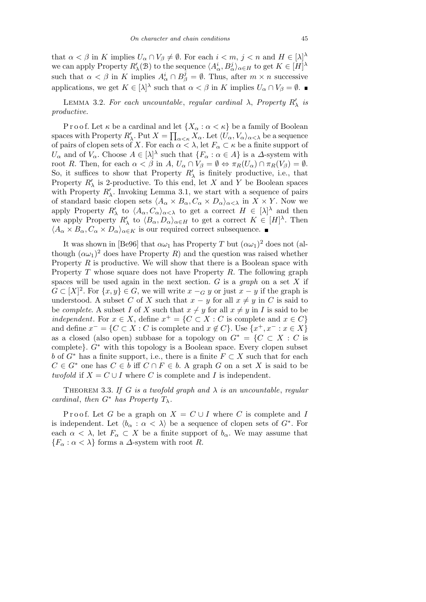that  $\alpha < \beta$  in *K* implies  $U_{\alpha} \cap V_{\beta} \neq \emptyset$ . For each  $i < m, j < n$  and  $H \in [\lambda]^{\lambda}$ we can apply Property  $R'_{\lambda}(\mathcal{B})$  to the sequence  $\langle A^i_{\alpha}, B^j_{\alpha} \rangle_{\alpha \in H}$  to get  $K \in [H]^{\lambda}$ such that  $\alpha < \beta$  in *K* implies  $A^i_\alpha \cap B^j_\beta = \emptyset$ . Thus, after  $m \times n$  successive applications, we get  $K \in [\lambda]^{\lambda}$  such that  $\alpha < \beta$  in *K* implies  $U_{\alpha} \cap V_{\beta} = \emptyset$ .

LEMMA 3.2. For each uncountable, regular cardinal  $\lambda$ , Property  $R'_{\lambda}$  is *productive.*

P r o o f. Let  $\kappa$  be a cardinal and let  $\{X_\alpha : \alpha < \kappa\}$  be a family of Boolean spaces with Property  $R'_{\lambda}$ . Put  $X = \prod_{\alpha < \kappa} X_{\alpha}$ . Let  $\langle U_{\alpha}, V_{\alpha} \rangle_{\alpha < \lambda}$  be a sequence of pairs of clopen sets of *X*. For each  $\alpha < \lambda$ , let  $F_\alpha \subset \kappa$  be a finite support of *U*<sup>*α*</sup> and of *V*<sup>*α*</sup>. Choose  $A \in [\lambda]^{\lambda}$  such that  $\{F_{\alpha} : \alpha \in A\}$  is a  $\Delta$ -system with root *R*. Then, for each  $\alpha < \beta$  in *A*,  $U_{\alpha} \cap V_{\beta} = \emptyset \Leftrightarrow \pi_R(U_{\alpha}) \cap \pi_R(V_{\beta}) = \emptyset$ . So, it suffices to show that Property  $R'_{\lambda}$  is finitely productive, i.e., that Property  $R'_{\lambda}$  is 2-productive. To this end, let *X* and *Y* be Boolean spaces with Property  $R'_{\lambda}$ . Invoking Lemma 3.1, we start with a sequence of pairs of standard basic clopen sets  $\langle A_{\alpha} \times B_{\alpha}, C_{\alpha} \times D_{\alpha} \rangle_{\alpha < \lambda}$  in  $X \times Y$ . Now we apply Property  $R'_{\lambda}$  to  $\langle A_{\alpha}, C_{\alpha} \rangle_{\alpha < \lambda}$  to get a correct  $H \in [\lambda]^{\lambda}$  and then we apply Property  $R'_{\lambda}$  to  $\langle B_{\alpha}, D_{\alpha} \rangle_{\alpha \in H}$  to get a correct  $K \in [H]^{\lambda}$ . Then  $\langle A_{\alpha} \times B_{\alpha}, C_{\alpha} \times D_{\alpha} \rangle_{\alpha \in K}$  is our required correct subsequence.

It was shown in [Be96] that  $\alpha\omega_1$  has Property *T* but  $(\alpha\omega_1)^2$  does not (although  $(\alpha\omega_1)^2$  does have Property *R*) and the question was raised whether Property *R* is productive. We will show that there is a Boolean space with Property *T* whose square does not have Property *R*. The following graph spaces will be used again in the next section. *G* is a *graph* on a set *X* if  $G \subset [X]^2$ . For  $\{x, y\} \in G$ , we will write  $x -_G y$  or just  $x - y$  if the graph is understood. A subset *C* of *X* such that  $x - y$  for all  $x \neq y$  in *C* is said to be *complete*. A subset *I* of *X* such that  $x \neq y$  for all  $x \neq y$  in *I* is said to be *independent*. For  $x \in X$ , define  $x^+ = \{C \subset X : C$  is complete and  $x \in C\}$ and define  $x^- = \{C \subset X : C$  is complete and  $x \notin C\}$ . Use  $\{x^+, x^- : x \in X\}$ as a closed (also open) subbase for a topology on  $G^* = \{C \subset X : C$  is complete*}*. *G<sup>∗</sup>* with this topology is a Boolean space. Every clopen subset *b* of  $G^*$  has a finite support, i.e., there is a finite  $F \subset X$  such that for each  $C \in G^*$  one has  $C \in b$  iff  $C \cap F \in b$ . A graph *G* on a set *X* is said to be *twofold* if  $X = C \cup I$  where *C* is complete and *I* is independent.

THEOREM 3.3. If G is a twofold graph and  $\lambda$  is an uncountable, regular *cardinal, then*  $G^*$  *has Property*  $T_\lambda$ *.* 

Proof. Let *G* be a graph on  $X = C \cup I$  where *C* is complete and *I* is independent. Let  $\langle b_{\alpha} : \alpha \langle \lambda \rangle$  be a sequence of clopen sets of  $G^*$ . For each  $\alpha < \lambda$ , let  $F_{\alpha} \subset X$  be a finite support of  $b_{\alpha}$ . We may assume that  ${F_\alpha : \alpha < \lambda}$  forms a *∆*-system with root *R*.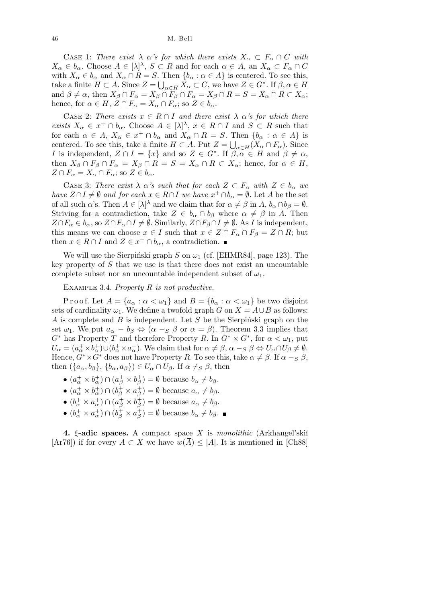CASE 1: *There exist*  $\lambda \alpha$ 's for which there exists  $X_{\alpha} \subset F_{\alpha} \cap C$  with  $X_{\alpha} \in b_{\alpha}$ . Choose  $A \in [\lambda]^{\lambda}$ ,  $S \subset R$  and for each  $\alpha \in A$ , an  $X_{\alpha} \subset F_{\alpha} \cap C$ with  $X_{\alpha} \in b_{\alpha}$  and  $X_{\alpha} \cap R = S$ . Then  $\{b_{\alpha} : \alpha \in A\}$  is centered. To see this, take a finite  $H \subset A$ . Since  $Z = \bigcup_{\alpha \in H} X_{\alpha} \subset C$ , we have  $Z \in G^*$ . If  $\beta, \alpha \in H$ and  $\beta \neq \alpha$ , then  $X_{\beta} \cap F_{\alpha} = X_{\beta} \cap F_{\beta} \cap F_{\alpha} = X_{\beta} \cap R = S = X_{\alpha} \cap R \subset X_{\alpha}$ ; hence, for  $\alpha \in H$ ,  $Z \cap F_{\alpha} = X_{\alpha} \cap F_{\alpha}$ ; so  $Z \in b_{\alpha}$ .

CASE 2: *There exists*  $x \in R \cap I$  *and there exist*  $\lambda \alpha$ *'s for which there exists*  $X_{\alpha} \in x^+ \cap b_{\alpha}$ . Choose  $A \in [\lambda]^{\lambda}$ ,  $x \in R \cap I$  and  $S \subset R$  such that for each  $\alpha \in A$ ,  $X_{\alpha} \in x^+ \cap b_{\alpha}$  and  $X_{\alpha} \cap R = S$ . Then  $\{b_{\alpha} : \alpha \in A\}$  is centered. To see this, take a finite  $H \subset A$ . Put  $Z = \bigcup_{\alpha \in H} (X_\alpha \cap F_\alpha)$ . Since *I* is independent,  $Z \cap I = \{x\}$  and so  $Z \in G^*$ . If  $\beta, \alpha \in H$  and  $\beta \neq \alpha$ , then  $X_{\beta} \cap F_{\beta} \cap F_{\alpha} = X_{\beta} \cap R = S = X_{\alpha} \cap R \subset X_{\alpha}$ ; hence, for  $\alpha \in H$ ,  $Z \cap F_\alpha = X_\alpha \cap F_\alpha$ ; so  $Z \in b_\alpha$ .

CASE 3: *There exist*  $\lambda \alpha$ 's such that for each  $Z \subset F_\alpha$  with  $Z \in b_\alpha$  we *have*  $Z \cap I \neq \emptyset$  *and for each*  $x \in R \cap I$  *we have*  $x^+ \cap b_\alpha = \emptyset$ . Let *A* be the set of all such *α*'s. Then  $A \in [\lambda]^{\lambda}$  and we claim that for  $\alpha \neq \beta$  in  $A, b_{\alpha} \cap b_{\beta} = \emptyset$ . Striving for a contradiction, take  $Z \in b_\alpha \cap b_\beta$  where  $\alpha \neq \beta$  in A. Then  $Z \cap F_{\alpha} \in b_{\alpha}$ , so  $Z \cap F_{\alpha} \cap I \neq \emptyset$ . Similarly,  $Z \cap F_{\beta} \cap I \neq \emptyset$ . As I is independent, this means we can choose  $x \in I$  such that  $x \in Z \cap F_\alpha \cap F_\beta = Z \cap R$ ; but then  $x \in R \cap I$  and  $Z \in x^+ \cap b_\alpha$ , a contradiction.

We will use the Sierpinski graph *S* on  $\omega_1$  (cf. [EHMR84], page 123). The key property of *S* that we use is that there does not exist an uncountable complete subset nor an uncountable independent subset of  $\omega_1$ .

Example 3.4. *Property R is not productive.*

Proof. Let  $A = \{a_\alpha : \alpha < \omega_1\}$  and  $B = \{b_\alpha : \alpha < \omega_1\}$  be two disjoint sets of cardinality  $\omega_1$ . We define a twofold graph *G* on  $X = A \cup B$  as follows: *A* is complete and *B* is independent. Let *S* be the Sierpinski graph on the set  $\omega_1$ . We put  $a_\alpha - b_\beta \Leftrightarrow (\alpha - s)\beta$  or  $\alpha = \beta$ ). Theorem 3.3 implies that *G*<sup>\*</sup> has Property *T* and therefore Property *R*. In  $G^* \times G^*$ , for  $\alpha < \omega_1$ , put  $U_{\alpha} = (a_{\alpha}^{+} \times b_{\alpha}^{+}) \cup (b_{\alpha}^{+} \times a_{\alpha}^{+})$ . We claim that for  $\alpha \neq \beta$ ,  $\alpha -_{S} \beta \Leftrightarrow U_{\alpha} \cap U_{\beta} \neq \emptyset$ . Hence,  $G^* \times G^*$  does not have Property *R*. To see this, take  $\alpha \neq \beta$ . If  $\alpha -_{S} \beta$ , then  $({a_{\alpha}, b_{\beta}}, {b_{\alpha}, a_{\beta}}) \in U_{\alpha} \cap U_{\beta}$ . If  $\alpha \neq s \beta$ , then

- $(a^+_{\alpha} \times b^+_{\alpha}) \cap (a^+_{\beta} \times b^+_{\beta}) = \emptyset$  because  $b_{\alpha} \neq b_{\beta}$ .
- $(a^+_{\alpha} \times b^+_{\alpha}) \cap (b^+_{\beta} \times a^+_{\beta}) = \emptyset$  because  $a_{\alpha} \neq b_{\beta}$ .
- $(b^+_{\alpha} \times a^+_{\alpha}) \cap (a^+_{\beta} \times b^+_{\beta}) = \emptyset$  because  $a_{\alpha} \neq b_{\beta}$ .
- $(b^+_{\alpha} \times a^+_{\alpha}) \cap (b^+_{\beta} \times a^+_{\beta}) = \emptyset$  because  $b_{\alpha} \neq b_{\beta}$ .

**4.** *ξ***-adic spaces.** A compact space *X* is *monolithic* (Arkhangel'skiŭ  $[Ar76]$ ) if for every  $A \subset X$  we have  $w(\overline{A}) \leq |A|$ . It is mentioned in [Ch88]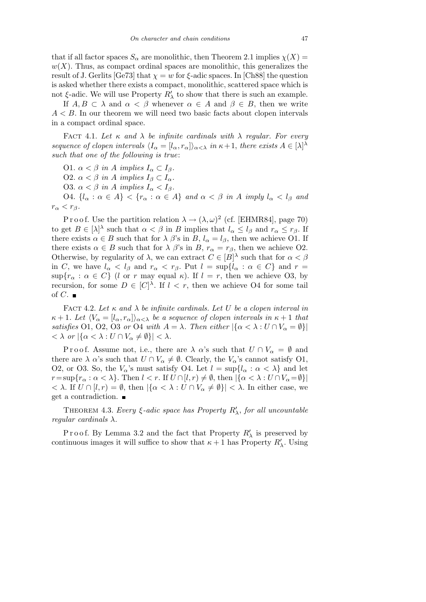that if all factor spaces  $S_\alpha$  are monolithic, then Theorem 2.1 implies  $\chi(X)$  =  $w(X)$ . Thus, as compact ordinal spaces are monolithic, this generalizes the result of J. Gerlits [Ge73] that  $\chi = w$  for  $\xi$ -adic spaces. In [Ch88] the question is asked whether there exists a compact, monolithic, scattered space which is not  $\xi$ -adic. We will use Property  $R'_{\lambda}$  to show that there is such an example.

If  $A, B \subset \lambda$  and  $\alpha < \beta$  whenever  $\alpha \in A$  and  $\beta \in B$ , then we write  $A < B$ . In our theorem we will need two basic facts about clopen intervals in a compact ordinal space.

FACT 4.1. Let  $\kappa$  and  $\lambda$  be infinite cardinals with  $\lambda$  regular. For every *sequence of clopen intervals*  $\langle I_{\alpha} = [l_{\alpha}, r_{\alpha}] \rangle_{\alpha < \lambda}$  *in*  $\kappa + 1$ *, there exists*  $A \in [\lambda]^{\lambda}$ *such that one of the following is true*:

 $O1. \ \alpha < \beta \text{ in } A \text{ implies } I_α \subset I_β.$  $O2. α < β$  *in A implies*  $I_β ⊂ I_α$ *.* **O3.**  $\alpha < \beta$  *in A implies*  $I_{\alpha} < I_{\beta}$ *.* O4.  $\{l_{\alpha} : \alpha \in A\} < \{r_{\alpha} : \alpha \in A\}$  and  $\alpha < \beta$  in A imply  $l_{\alpha} < l_{\beta}$  and

 $r_{\alpha} < r_{\beta}$ *.* 

P r o o f. Use the partition relation  $\lambda \to (\lambda, \omega)^2$  (cf. [EHMR84], page 70) to get  $B \in [\lambda]^{\lambda}$  such that  $\alpha < \beta$  in *B* implies that  $l_{\alpha} \leq l_{\beta}$  and  $r_{\alpha} \leq r_{\beta}$ . If there exists  $\alpha \in B$  such that for  $\lambda \beta$ 's in  $B$ ,  $l_{\alpha} = l_{\beta}$ , then we achieve O1. If there exists  $\alpha \in B$  such that for  $\lambda \beta$ 's in  $B$ ,  $r_{\alpha} = r_{\beta}$ , then we achieve O2. Otherwise, by regularity of  $\lambda$ , we can extract  $C \in |B|^{\lambda}$  such that for  $\alpha < \beta$ in *C*, we have  $l_{\alpha} < l_{\beta}$  and  $r_{\alpha} < r_{\beta}$ . Put  $l = \sup\{l_{\alpha} : \alpha \in C\}$  and  $r =$  $\sup\{r_{\alpha} : \alpha \in C\}$  (*l* or *r* may equal *κ*). If  $l = r$ , then we achieve O3, by recursion, for some  $D \in [C]^{\lambda}$ . If  $l \leq r$ , then we achieve O4 for some tail of  $C$ .

FACT 4.2. Let  $\kappa$  and  $\lambda$  be infinite cardinals. Let U be a clopen interval in  $\kappa + 1$ *. Let*  $\langle V_{\alpha} = [l_{\alpha}, r_{\alpha}] \rangle_{\alpha < \lambda}$  *be a sequence of clopen intervals in*  $\kappa + 1$  *that satisfies* O1, O2, O3 *or* O4 *with*  $A = \lambda$ *. Then either*  $|\{\alpha < \lambda : U \cap V_{\alpha} = \emptyset\}|$  $\langle \langle \lambda \rangle$  *or*  $|\{\alpha \langle \lambda : U \cap V_{\alpha} \neq \emptyset\}| \langle \lambda \rangle$ .

Proof. Assume not, i.e., there are  $\lambda$   $\alpha$ 's such that  $U \cap V_{\alpha} = \emptyset$  and there are  $\lambda$   $\alpha$ 's such that  $U \cap V_{\alpha} \neq \emptyset$ . Clearly, the  $V_{\alpha}$ 's cannot satisfy O1, O2, or O3. So, the  $V_\alpha$ 's must satisfy O4. Let  $l = \sup\{l_\alpha : \alpha < \lambda\}$  and let  $r = \sup\{r_\alpha : \alpha < \lambda\}$ . Then  $l < r$ . If  $U \cap [l, r) \neq \emptyset$ , then  $|\{\alpha < \lambda : U \cap V_\alpha = \emptyset\}|$  $\langle \lambda \rangle$ . If *U* ∩ [*l, r*) = *Ø*, then  $|\{\alpha \langle \lambda : U \cap V_{\alpha} \neq \emptyset\}| \langle \lambda \rangle$ . In either case, we get a contradiction.

THEOREM 4.3. *Every*  $\xi$ -adic space has Property  $R'_{\lambda}$ , for all uncountable *regular cardinals λ.*

Proof. By Lemma 3.2 and the fact that Property  $R'_{\lambda}$  is preserved by continuous images it will suffice to show that  $\kappa + 1$  has Property  $R'_{\lambda}$ . Using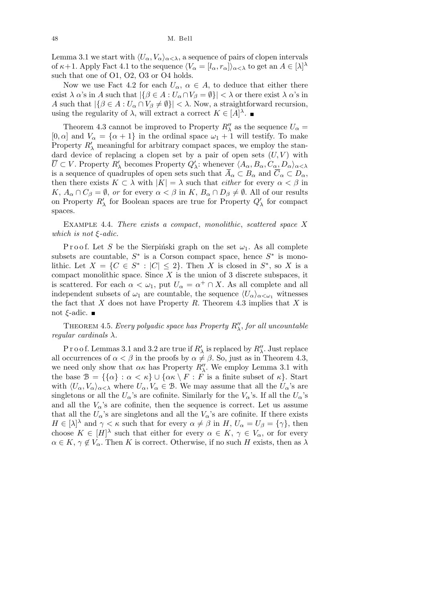48 M. Bell

Lemma 3.1 we start with  $\langle U_{\alpha}, V_{\alpha} \rangle_{\alpha < \lambda}$ , a sequence of pairs of clopen intervals of  $\kappa+1$ . Apply Fact 4.1 to the sequence  $\langle V_\alpha = [l_\alpha, r_\alpha] \rangle_{\alpha < \lambda}$  to get an  $A \in [\lambda]^{\lambda}$ such that one of O1, O2, O3 or O4 holds.

Now we use Fact 4.2 for each  $U_{\alpha}$ ,  $\alpha \in A$ , to deduce that either there exist  $\lambda \alpha$ 's in *A* such that  $|\{\beta \in A : U_\alpha \cap V_\beta = \emptyset\}| < \lambda$  or there exist  $\lambda \alpha$ 's in *A* such that  $|\{\beta \in A : U_\alpha \cap V_\beta \neq \emptyset\}| < \lambda$ . Now, a straightforward recursion, using the regularity of  $\lambda$ , will extract a correct  $K \in [A]^{\lambda}$ .

Theorem 4.3 cannot be improved to Property  $R''_{\lambda}$  as the sequence  $U_{\alpha}$  = [0,  $\alpha$ ] and  $V_{\alpha} = {\alpha + 1}$  in the ordinal space  $\omega_1 + 1$  will testify. To make Property  $R'_{\lambda}$  meaningful for arbitrary compact spaces, we employ the standard device of replacing a clopen set by a pair of open sets  $(U, V)$  with  $\overline{U} \subset V$ . Property  $R'_{\lambda}$  becomes Property  $Q'_{\lambda}$ : whenever  $\langle A_{\alpha}, B_{\alpha}, C_{\alpha}, D_{\alpha} \rangle_{\alpha < \lambda}$ is a sequence of quadruples of open sets such that  $\overline{A}_{\alpha} \subset B_{\alpha}$  and  $\overline{C}_{\alpha} \subset D_{\alpha}$ , then there exists  $K \subset \lambda$  with  $|K| = \lambda$  such that *either* for every  $\alpha < \beta$  in *K*,  $A_{\alpha} \cap C_{\beta} = \emptyset$ , *or* for every  $\alpha < \beta$  in *K*,  $B_{\alpha} \cap D_{\beta} \neq \emptyset$ . All of our results on Property  $R'_{\lambda}$  for Boolean spaces are true for Property  $Q'_{\lambda}$  for compact spaces.

Example 4.4. *There exists a compact*, *monolithic*, *scattered space X which is not ξ-adic.*

P r o o f. Let *S* be the Sierpinski graph on the set  $\omega_1$ . As all complete subsets are countable,  $S^*$  is a Corson compact space, hence  $S^*$  is monolithic. Let  $X = \{C \in S^* : |C| \leq 2\}$ . Then *X* is closed in  $S^*$ , so *X* is a compact monolithic space. Since *X* is the union of 3 discrete subspaces, it is scattered. For each  $\alpha < \omega_1$ , put  $U_\alpha = \alpha^+ \cap X$ . As all complete and all independent subsets of  $\omega_1$  are countable, the sequence  $\langle U_\alpha \rangle_{\alpha < \omega_1}$  witnesses the fact that *X* does not have Property *R*. Theorem 4.3 implies that *X* is not *ξ*-adic.

THEOREM 4.5. *Every polyadic space has Property*  $R''_{\lambda}$ *, for all uncountable regular cardinals λ.*

Proof. Lemmas 3.1 and 3.2 are true if  $R'_{\lambda}$  is replaced by  $R''_{\lambda}$ . Just replace all occurrences of  $\alpha < \beta$  in the proofs by  $\alpha \neq \beta$ . So, just as in Theorem 4.3, we need only show that  $\alpha \kappa$  has Property  $R''_{\lambda}$ . We employ Lemma 3.1 with the base  $\mathcal{B} = \{\{\alpha\} : \alpha < \kappa\} \cup \{\alpha \kappa \setminus F : F \text{ is a finite subset of } \kappa\}.$  Start with  $\langle U_\alpha, V_\alpha \rangle_{\alpha < \lambda}$  where  $U_\alpha, V_\alpha \in \mathcal{B}$ . We may assume that all the  $U_\alpha$ 's are singletons or all the  $U_{\alpha}$ 's are cofinite. Similarly for the  $V_{\alpha}$ 's. If all the  $U_{\alpha}$ 's and all the  $V_\alpha$ 's are cofinite, then the sequence is correct. Let us assume that all the  $U_{\alpha}$ 's are singletons and all the  $V_{\alpha}$ 's are cofinite. If there exists  $H \in [\lambda]^\lambda$  and  $\gamma < \kappa$  such that for every  $\alpha \neq \beta$  in  $H$ ,  $U_\alpha = U_\beta = {\gamma}$ , then choose  $K \in [H]^{\lambda}$  such that either for every  $\alpha \in K$ ,  $\gamma \in V_{\alpha}$ , or for every  $\alpha \in K$ ,  $\gamma \notin V_{\alpha}$ . Then *K* is correct. Otherwise, if no such *H* exists, then as  $\lambda$